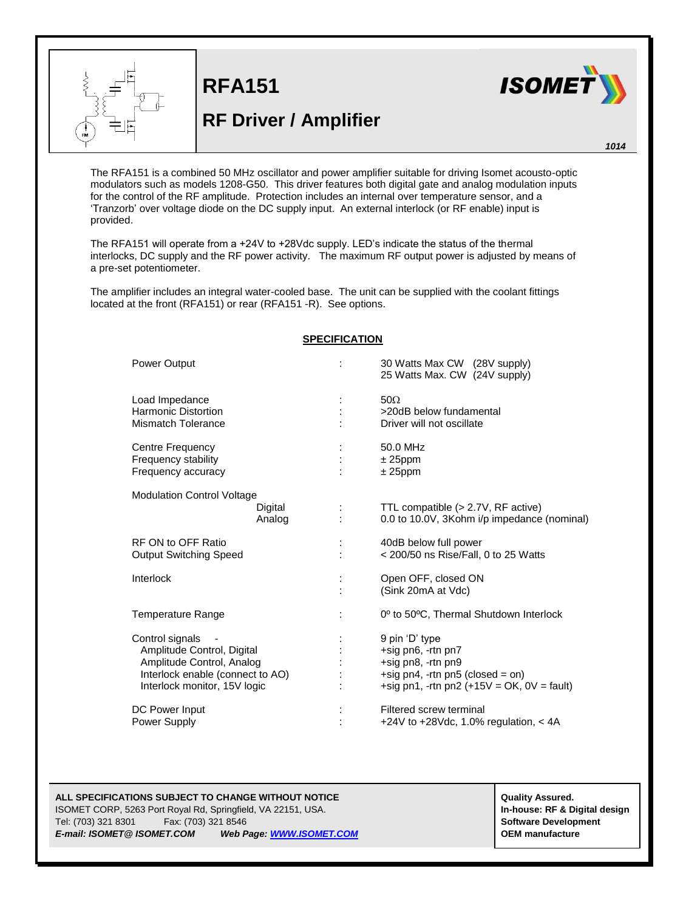

**RFA151**

## **RF Driver / Amplifier**



*1014*

The RFA151 is a combined 50 MHz oscillator and power amplifier suitable for driving Isomet acousto-optic modulators such as models 1208-G50. This driver features both digital gate and analog modulation inputs for the control of the RF amplitude. Protection includes an internal over temperature sensor, and a 'Tranzorb' over voltage diode on the DC supply input. An external interlock (or RF enable) input is provided.

The RFA151 will operate from a +24V to +28Vdc supply. LED's indicate the status of the thermal interlocks, DC supply and the RF power activity. The maximum RF output power is adjusted by means of a pre-set potentiometer.

The amplifier includes an integral water-cooled base. The unit can be supplied with the coolant fittings located at the front (RFA151) or rear (RFA151 -R). See options.

| <b>Power Output</b>                                                                                                                            |                   | 30 Watts Max CW (28V supply)<br>25 Watts Max. CW (24V supply)                                                                                  |
|------------------------------------------------------------------------------------------------------------------------------------------------|-------------------|------------------------------------------------------------------------------------------------------------------------------------------------|
| Load Impedance<br><b>Harmonic Distortion</b><br><b>Mismatch Tolerance</b>                                                                      |                   | $50\Omega$<br>>20dB below fundamental<br>Driver will not oscillate                                                                             |
| Centre Frequency<br>Frequency stability<br>Frequency accuracy                                                                                  |                   | 50.0 MHz<br>$± 25$ ppm<br>$± 25$ ppm                                                                                                           |
| <b>Modulation Control Voltage</b>                                                                                                              | Digital<br>Analog | TTL compatible (> 2.7V, RF active)<br>0.0 to 10.0V, 3Kohm i/p impedance (nominal)                                                              |
| RF ON to OFF Ratio<br><b>Output Switching Speed</b>                                                                                            |                   | 40dB below full power<br>< 200/50 ns Rise/Fall, 0 to 25 Watts                                                                                  |
| Interlock                                                                                                                                      |                   | Open OFF, closed ON<br>(Sink 20mA at Vdc)                                                                                                      |
| Temperature Range                                                                                                                              |                   | 0 <sup>o</sup> to 50°C, Thermal Shutdown Interlock                                                                                             |
| Control signals<br>Amplitude Control, Digital<br>Amplitude Control, Analog<br>Interlock enable (connect to AO)<br>Interlock monitor, 15V logic |                   | 9 pin 'D' type<br>+sig pn6, -rtn pn7<br>+sig pn8, -rtn pn9<br>+sig pn4, -rtn pn5 (closed = on)<br>+sig pn1, -rtn pn2 $(+15V = OK, 0V = fault)$ |
| DC Power Input<br>Power Supply                                                                                                                 |                   | Filtered screw terminal<br>+24V to +28Vdc, 1.0% regulation, < 4A                                                                               |

## **SPECIFICATION**

ISOMET CORP, 5263 Port Royal Rd, Springfield, VA 22151, USA. **In-house: RF & Digital design** Tel: (703) 321 8301 Fax: (703) 321 8546 **Software Development** *E-mail: ISOMET@ ISOMET.COM Web Page[: WWW.ISOMET.COM](http://www.isomet.com/)* **OEM manufacture**

**ALL SPECIFICATIONS SUBJECT TO CHANGE WITHOUT ASSURED.**